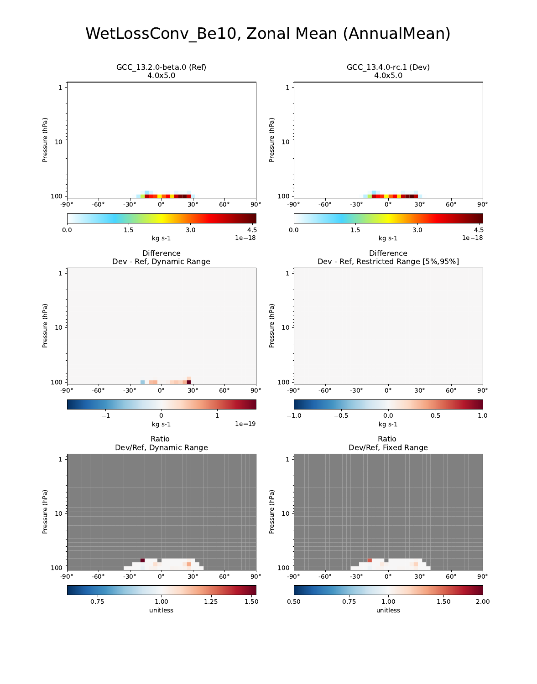#### WetLossConv\_Be10, Zonal Mean (AnnualMean)

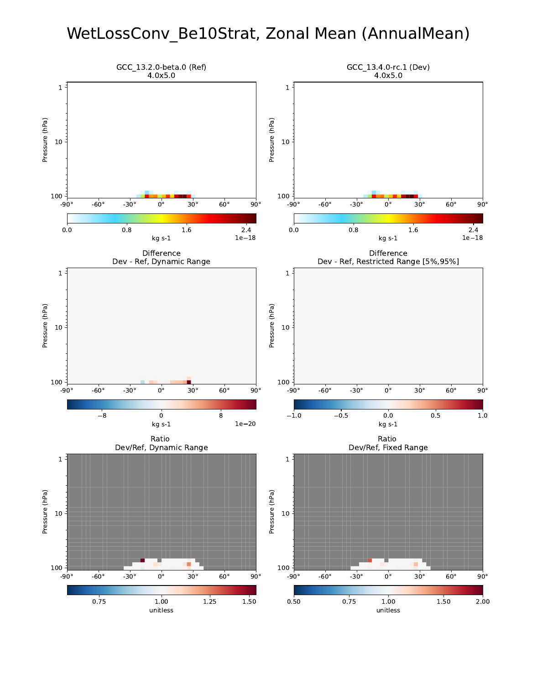## WetLossConv\_Be10Strat, Zonal Mean (AnnualMean)

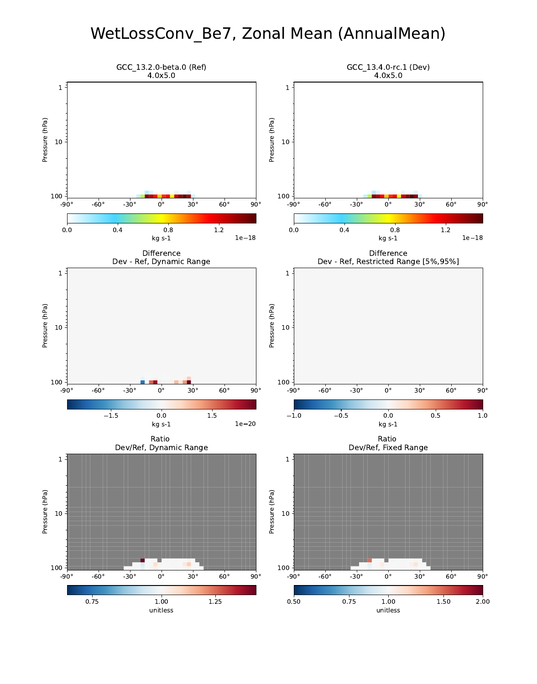## WetLossConv\_Be7, Zonal Mean (AnnualMean)

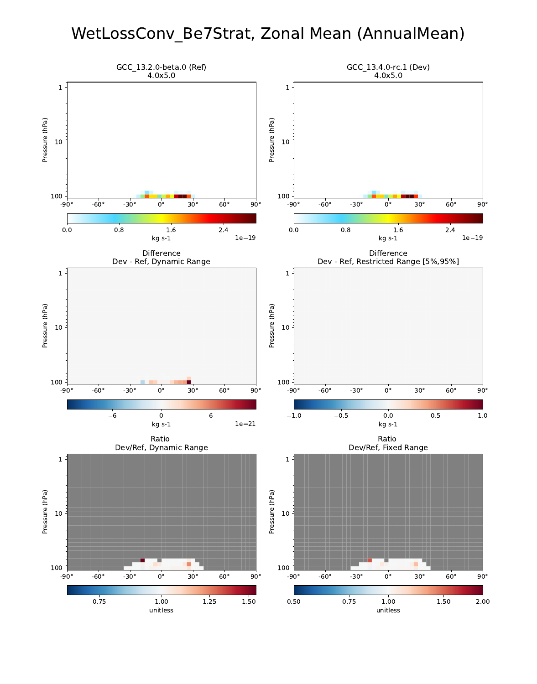#### WetLossConv\_Be7Strat, Zonal Mean (AnnualMean)

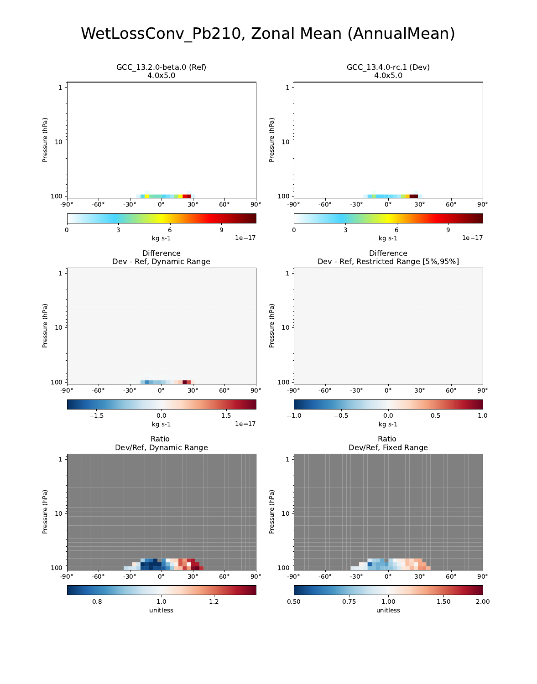# WetLossConv\_Pb210, Zonal Mean (AnnualMean)